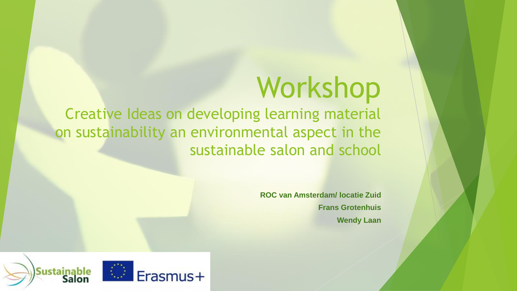# Workshop

Creative Ideas on developing learning material on sustainability an environmental aspect in the sustainable salon and school

> **ROC van Amsterdam/ locatie Zuid Frans Grotenhuis Wendy Laan**

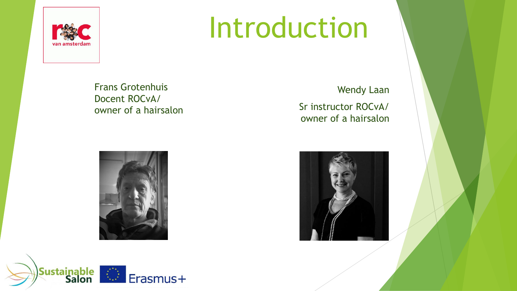

# Introduction

Frans Grotenhuis Docent ROCvA/ owner of a hairsalon





Wendy Laan

Sr instructor ROCvA/ owner of a hairsalon

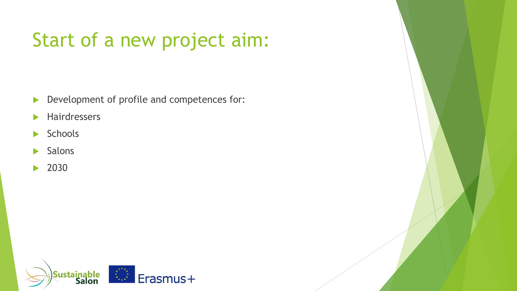## Start of a new project aim:

- Development of profile and competences for:
- **Hairdressers**
- $\blacktriangleright$  Schools
- $\blacktriangleright$  Salons
- ▶ 2030

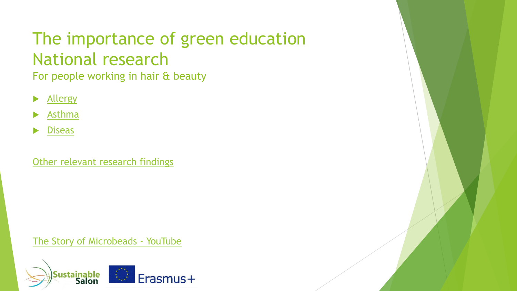## The importance of green education National research

For people working in hair & beauty

- [Allergy](https://www.youtube.com/watch?v=uAiIGd_JqZc)
- [Asthma](https://www.youtube.com/watch?v=uAiIGd_JqZc)
- **[Diseas](https://www.youtube.com/watch?v=uAiIGd_JqZc)**

[Other relevant research findings](https://www.youtube.com/watch?v=uAiIGd_JqZc)

[The Story of Microbeads -](https://www.youtube.com/watch?v=uAiIGd_JqZc) YouTube

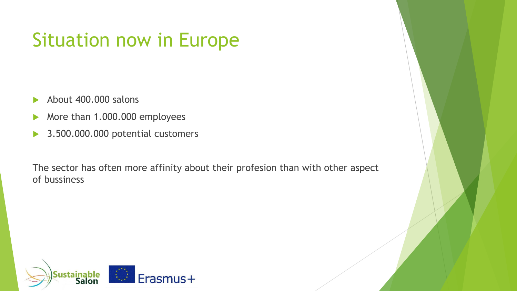## Situation now in Europe

- About 400.000 salons
- More than 1.000.000 employees
- ▶ 3.500.000.000 potential customers

The sector has often more affinity about their profesion than with other aspect of bussiness

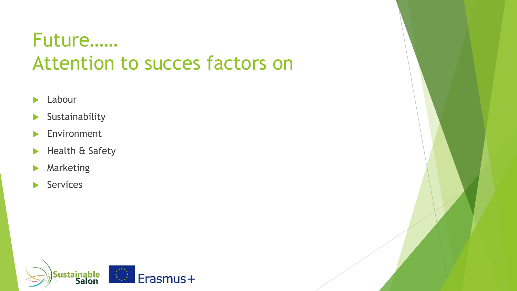## Future…… Attention to succes factors on

- $\blacktriangleright$  Labour
- $\blacktriangleright$  Sustainability
- **Environment**
- Health & Safety
- **Marketing**
- Services

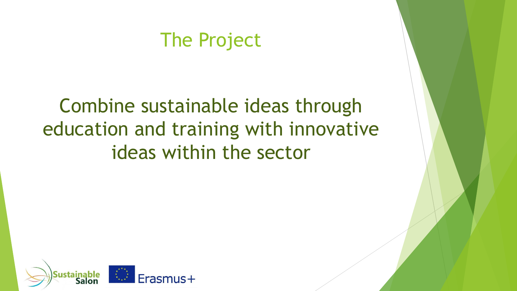### The Project

## Combine sustainable ideas through education and training with innovative ideas within the sector

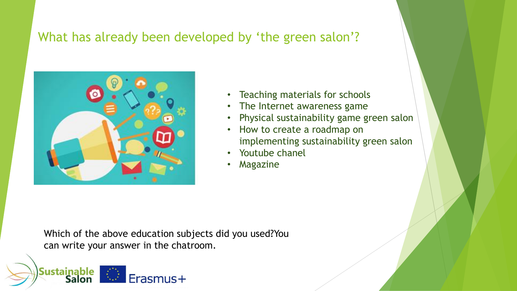### What has already been developed by 'the green salon'?



**Sustainable** 

- Teaching materials for schools
- The Internet awareness game
- Physical sustainability game green salon
- How to create a roadmap on implementing sustainability green salon
- Youtube chanel
- **Magazine**

Which of the above education subjects did you used?You can write your answer in the chatroom.

Erasmus+